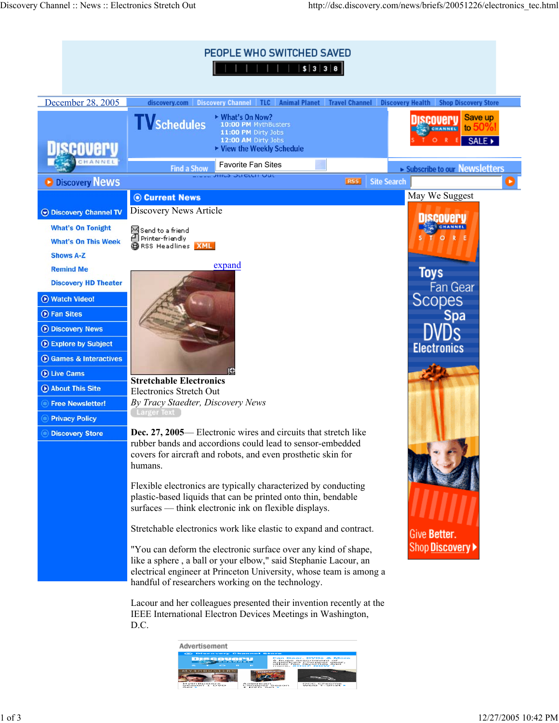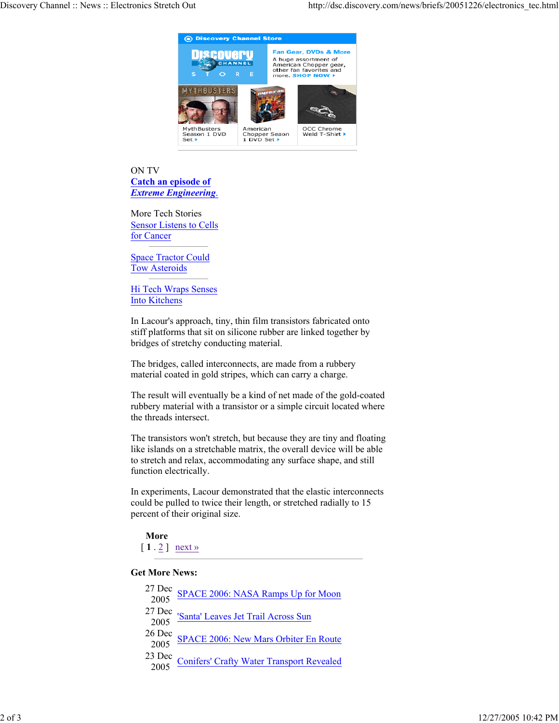

ON TV **Catch an episode of**  *Extreme Engineering*.

More Tech Stories Sensor Listens to Cells for Cancer

Space Tractor Could Tow Asteroids

Hi Tech Wraps Senses Into Kitchens

In Lacour's approach, tiny, thin film transistors fabricated onto stiff platforms that sit on silicone rubber are linked together by bridges of stretchy conducting material.

The bridges, called interconnects, are made from a rubbery material coated in gold stripes, which can carry a charge.

The result will eventually be a kind of net made of the gold-coated rubbery material with a transistor or a simple circuit located where the threads intersect.

The transistors won't stretch, but because they are tiny and floating like islands on a stretchable matrix, the overall device will be able to stretch and relax, accommodating any surface shape, and still function electrically.

In experiments, Lacour demonstrated that the elastic interconnects could be pulled to twice their length, or stretched radially to 15 percent of their original size.

**More**

 $[1 \cdot 2]$  next »

## **Get More News:**

| 27 Dec SPACE 2006: NASA Ramps Up for Moon<br>2005 SPACE 2006: NASA Ramps Up for Moon       |
|--------------------------------------------------------------------------------------------|
| 27 Dec Santa' Leaves Jet Trail Across Sun                                                  |
| 26 Dec SPACE 2006: New Mars Orbiter En Route<br>2005 SPACE 2006: New Mars Orbiter En Route |
| 23 Dec Conifers' Crafty Water Transport Revealed                                           |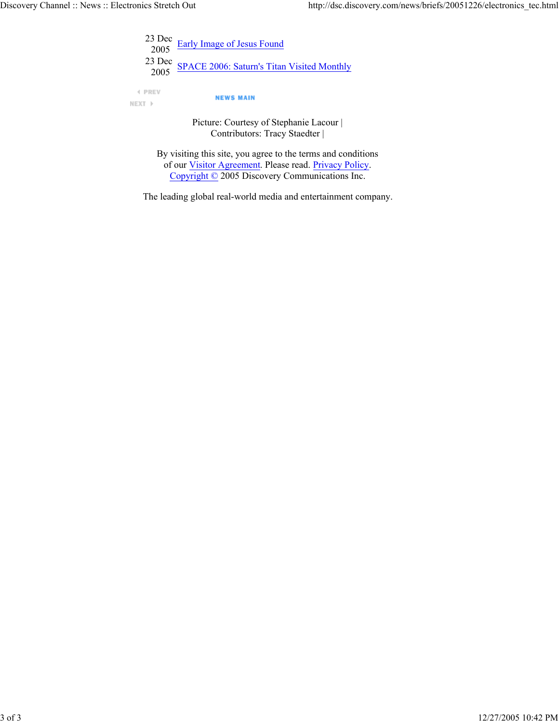|               | $^{23}$ Dec Early Image of Jesus Found                              |
|---------------|---------------------------------------------------------------------|
|               | <sup>23</sup> Dec <u>SPACE 2006: Saturn's Titan Visited Monthly</u> |
| <b>4 PREV</b> | <b>NEWS MAIN</b>                                                    |

Picture: Courtesy of Stephanie Lacour | Contributors: Tracy Staedter |

By visiting this site, you agree to the terms and conditions of our Visitor Agreement. Please read. Privacy Policy. Copyright © 2005 Discovery Communications Inc.

The leading global real-world media and entertainment company.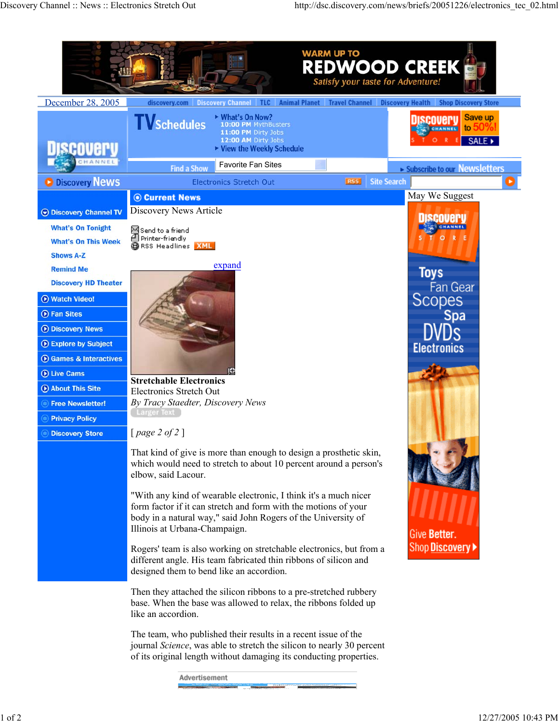